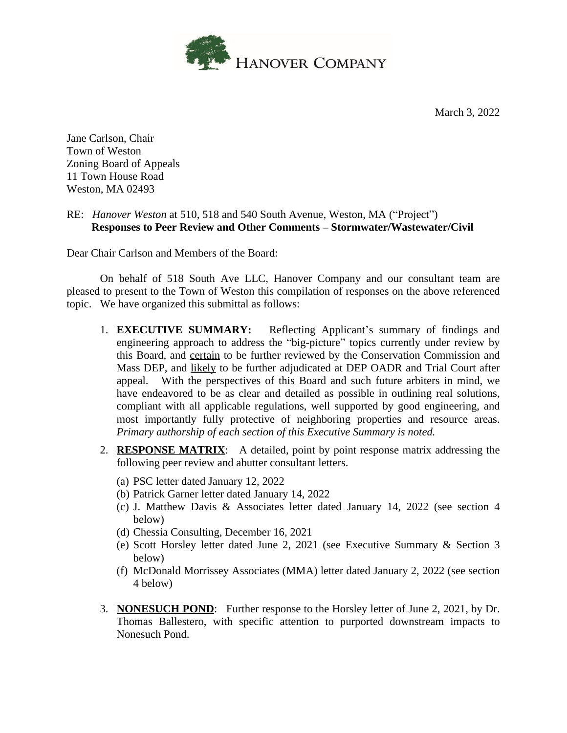

March 3, 2022

Jane Carlson, Chair Town of Weston Zoning Board of Appeals 11 Town House Road Weston, MA 02493

## RE: *Hanover Weston* at 510, 518 and 540 South Avenue, Weston, MA ("Project") **Responses to Peer Review and Other Comments – Stormwater/Wastewater/Civil**

Dear Chair Carlson and Members of the Board:

On behalf of 518 South Ave LLC, Hanover Company and our consultant team are pleased to present to the Town of Weston this compilation of responses on the above referenced topic. We have organized this submittal as follows:

- 1. **EXECUTIVE SUMMARY:** Reflecting Applicant's summary of findings and engineering approach to address the "big-picture" topics currently under review by this Board, and certain to be further reviewed by the Conservation Commission and Mass DEP, and likely to be further adjudicated at DEP OADR and Trial Court after appeal. With the perspectives of this Board and such future arbiters in mind, we have endeavored to be as clear and detailed as possible in outlining real solutions, compliant with all applicable regulations, well supported by good engineering, and most importantly fully protective of neighboring properties and resource areas. *Primary authorship of each section of this Executive Summary is noted.*
- 2. **RESPONSE MATRIX**: A detailed, point by point response matrix addressing the following peer review and abutter consultant letters.
	- (a) PSC letter dated January 12, 2022
	- (b) Patrick Garner letter dated January 14, 2022
	- (c) J. Matthew Davis & Associates letter dated January 14, 2022 (see section 4 below)
	- (d) Chessia Consulting, December 16, 2021
	- (e) Scott Horsley letter dated June 2, 2021 (see Executive Summary & Section 3 below)
	- (f) McDonald Morrissey Associates (MMA) letter dated January 2, 2022 (see section 4 below)
- 3. **NONESUCH POND**: Further response to the Horsley letter of June 2, 2021, by Dr. Thomas Ballestero, with specific attention to purported downstream impacts to Nonesuch Pond.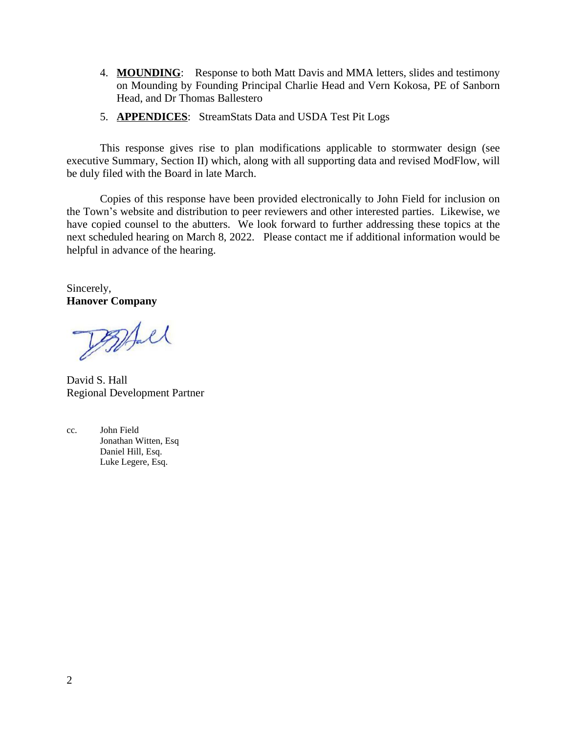- 4. **MOUNDING**: Response to both Matt Davis and MMA letters, slides and testimony on Mounding by Founding Principal Charlie Head and Vern Kokosa, PE of Sanborn Head, and Dr Thomas Ballestero
- 5. **APPENDICES**: StreamStats Data and USDA Test Pit Logs

This response gives rise to plan modifications applicable to stormwater design (see executive Summary, Section II) which, along with all supporting data and revised ModFlow, will be duly filed with the Board in late March.

Copies of this response have been provided electronically to John Field for inclusion on the Town's website and distribution to peer reviewers and other interested parties. Likewise, we have copied counsel to the abutters. We look forward to further addressing these topics at the next scheduled hearing on March 8, 2022. Please contact me if additional information would be helpful in advance of the hearing.

Sincerely, **Hanover Company**

Pagal

David S. Hall Regional Development Partner

cc. John Field Jonathan Witten, Esq Daniel Hill, Esq. Luke Legere, Esq.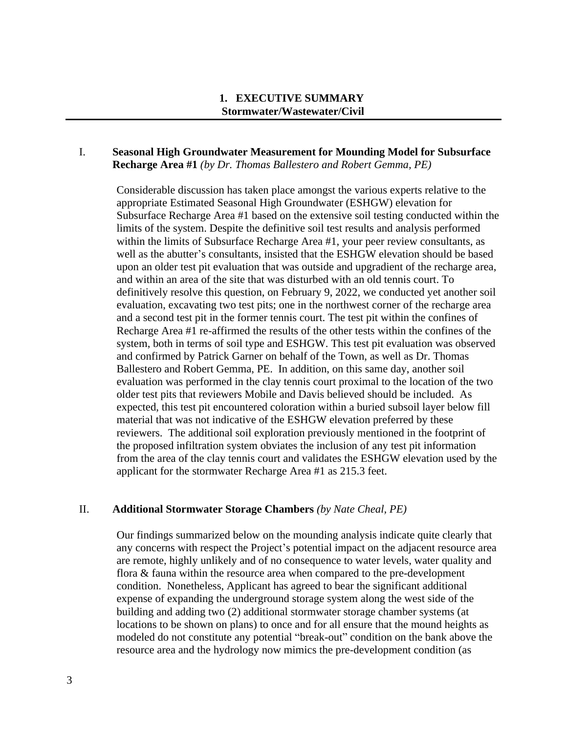## **1. EXECUTIVE SUMMARY Stormwater/Wastewater/Civil**

## I. **Seasonal High Groundwater Measurement for Mounding Model for Subsurface Recharge Area #1** *(by Dr. Thomas Ballestero and Robert Gemma, PE)*

Considerable discussion has taken place amongst the various experts relative to the appropriate Estimated Seasonal High Groundwater (ESHGW) elevation for Subsurface Recharge Area #1 based on the extensive soil testing conducted within the limits of the system. Despite the definitive soil test results and analysis performed within the limits of Subsurface Recharge Area #1, your peer review consultants, as well as the abutter's consultants, insisted that the ESHGW elevation should be based upon an older test pit evaluation that was outside and upgradient of the recharge area, and within an area of the site that was disturbed with an old tennis court. To definitively resolve this question, on February 9, 2022, we conducted yet another soil evaluation, excavating two test pits; one in the northwest corner of the recharge area and a second test pit in the former tennis court. The test pit within the confines of Recharge Area #1 re-affirmed the results of the other tests within the confines of the system, both in terms of soil type and ESHGW. This test pit evaluation was observed and confirmed by Patrick Garner on behalf of the Town, as well as Dr. Thomas Ballestero and Robert Gemma, PE. In addition, on this same day, another soil evaluation was performed in the clay tennis court proximal to the location of the two older test pits that reviewers Mobile and Davis believed should be included. As expected, this test pit encountered coloration within a buried subsoil layer below fill material that was not indicative of the ESHGW elevation preferred by these reviewers. The additional soil exploration previously mentioned in the footprint of the proposed infiltration system obviates the inclusion of any test pit information from the area of the clay tennis court and validates the ESHGW elevation used by the applicant for the stormwater Recharge Area #1 as 215.3 feet.

#### II. **Additional Stormwater Storage Chambers** *(by Nate Cheal, PE)*

Our findings summarized below on the mounding analysis indicate quite clearly that any concerns with respect the Project's potential impact on the adjacent resource area are remote, highly unlikely and of no consequence to water levels, water quality and flora & fauna within the resource area when compared to the pre-development condition. Nonetheless, Applicant has agreed to bear the significant additional expense of expanding the underground storage system along the west side of the building and adding two (2) additional stormwater storage chamber systems (at locations to be shown on plans) to once and for all ensure that the mound heights as modeled do not constitute any potential "break-out" condition on the bank above the resource area and the hydrology now mimics the pre-development condition (as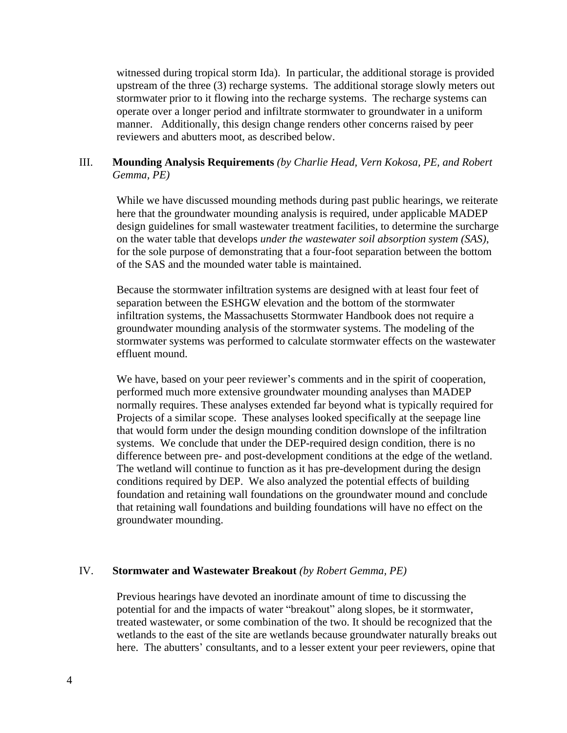witnessed during tropical storm Ida). In particular, the additional storage is provided upstream of the three (3) recharge systems. The additional storage slowly meters out stormwater prior to it flowing into the recharge systems. The recharge systems can operate over a longer period and infiltrate stormwater to groundwater in a uniform manner. Additionally, this design change renders other concerns raised by peer reviewers and abutters moot, as described below.

## III. **Mounding Analysis Requirements** *(by Charlie Head, Vern Kokosa, PE, and Robert Gemma, PE)*

While we have discussed mounding methods during past public hearings, we reiterate here that the groundwater mounding analysis is required, under applicable MADEP design guidelines for small wastewater treatment facilities, to determine the surcharge on the water table that develops *under the wastewater soil absorption system (SAS)*, for the sole purpose of demonstrating that a four-foot separation between the bottom of the SAS and the mounded water table is maintained.

Because the stormwater infiltration systems are designed with at least four feet of separation between the ESHGW elevation and the bottom of the stormwater infiltration systems, the Massachusetts Stormwater Handbook does not require a groundwater mounding analysis of the stormwater systems. The modeling of the stormwater systems was performed to calculate stormwater effects on the wastewater effluent mound.

We have, based on your peer reviewer's comments and in the spirit of cooperation, performed much more extensive groundwater mounding analyses than MADEP normally requires. These analyses extended far beyond what is typically required for Projects of a similar scope. These analyses looked specifically at the seepage line that would form under the design mounding condition downslope of the infiltration systems. We conclude that under the DEP-required design condition, there is no difference between pre- and post-development conditions at the edge of the wetland. The wetland will continue to function as it has pre-development during the design conditions required by DEP. We also analyzed the potential effects of building foundation and retaining wall foundations on the groundwater mound and conclude that retaining wall foundations and building foundations will have no effect on the groundwater mounding.

#### IV. **Stormwater and Wastewater Breakout** *(by Robert Gemma, PE)*

Previous hearings have devoted an inordinate amount of time to discussing the potential for and the impacts of water "breakout" along slopes, be it stormwater, treated wastewater, or some combination of the two. It should be recognized that the wetlands to the east of the site are wetlands because groundwater naturally breaks out here. The abutters' consultants, and to a lesser extent your peer reviewers, opine that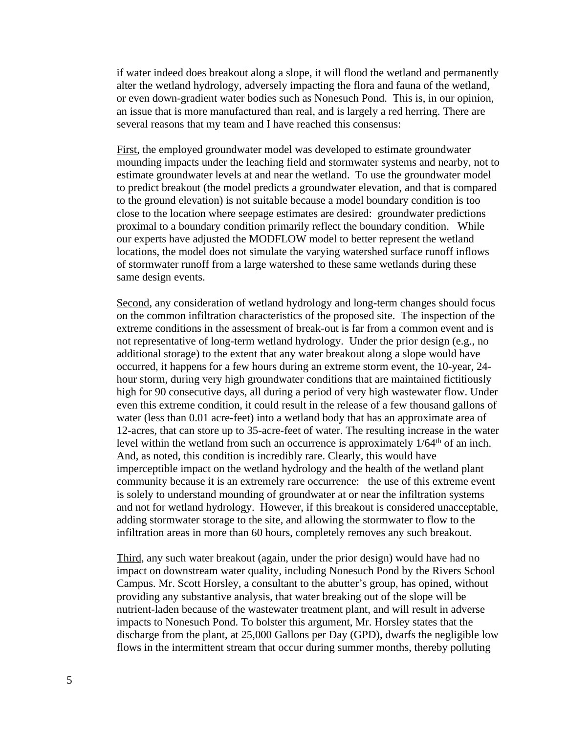if water indeed does breakout along a slope, it will flood the wetland and permanently alter the wetland hydrology, adversely impacting the flora and fauna of the wetland, or even down-gradient water bodies such as Nonesuch Pond. This is, in our opinion, an issue that is more manufactured than real, and is largely a red herring. There are several reasons that my team and I have reached this consensus:

First, the employed groundwater model was developed to estimate groundwater mounding impacts under the leaching field and stormwater systems and nearby, not to estimate groundwater levels at and near the wetland. To use the groundwater model to predict breakout (the model predicts a groundwater elevation, and that is compared to the ground elevation) is not suitable because a model boundary condition is too close to the location where seepage estimates are desired: groundwater predictions proximal to a boundary condition primarily reflect the boundary condition. While our experts have adjusted the MODFLOW model to better represent the wetland locations, the model does not simulate the varying watershed surface runoff inflows of stormwater runoff from a large watershed to these same wetlands during these same design events.

Second, any consideration of wetland hydrology and long-term changes should focus on the common infiltration characteristics of the proposed site. The inspection of the extreme conditions in the assessment of break-out is far from a common event and is not representative of long-term wetland hydrology. Under the prior design (e.g., no additional storage) to the extent that any water breakout along a slope would have occurred, it happens for a few hours during an extreme storm event, the 10-year, 24 hour storm, during very high groundwater conditions that are maintained fictitiously high for 90 consecutive days, all during a period of very high wastewater flow. Under even this extreme condition, it could result in the release of a few thousand gallons of water (less than 0.01 acre-feet) into a wetland body that has an approximate area of 12-acres, that can store up to 35-acre-feet of water. The resulting increase in the water level within the wetland from such an occurrence is approximately 1/64<sup>th</sup> of an inch. And, as noted, this condition is incredibly rare. Clearly, this would have imperceptible impact on the wetland hydrology and the health of the wetland plant community because it is an extremely rare occurrence: the use of this extreme event is solely to understand mounding of groundwater at or near the infiltration systems and not for wetland hydrology. However, if this breakout is considered unacceptable, adding stormwater storage to the site, and allowing the stormwater to flow to the infiltration areas in more than 60 hours, completely removes any such breakout.

Third, any such water breakout (again, under the prior design) would have had no impact on downstream water quality, including Nonesuch Pond by the Rivers School Campus. Mr. Scott Horsley, a consultant to the abutter's group, has opined, without providing any substantive analysis, that water breaking out of the slope will be nutrient-laden because of the wastewater treatment plant, and will result in adverse impacts to Nonesuch Pond. To bolster this argument, Mr. Horsley states that the discharge from the plant, at 25,000 Gallons per Day (GPD), dwarfs the negligible low flows in the intermittent stream that occur during summer months, thereby polluting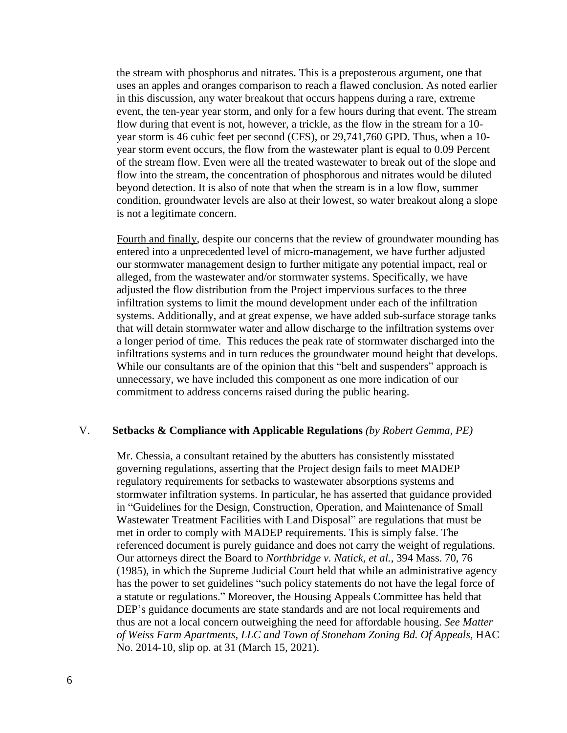the stream with phosphorus and nitrates. This is a preposterous argument, one that uses an apples and oranges comparison to reach a flawed conclusion. As noted earlier in this discussion, any water breakout that occurs happens during a rare, extreme event, the ten-year year storm, and only for a few hours during that event. The stream flow during that event is not, however, a trickle, as the flow in the stream for a 10 year storm is 46 cubic feet per second (CFS), or 29,741,760 GPD. Thus, when a 10 year storm event occurs, the flow from the wastewater plant is equal to 0.09 Percent of the stream flow. Even were all the treated wastewater to break out of the slope and flow into the stream, the concentration of phosphorous and nitrates would be diluted beyond detection. It is also of note that when the stream is in a low flow, summer condition, groundwater levels are also at their lowest, so water breakout along a slope is not a legitimate concern.

Fourth and finally, despite our concerns that the review of groundwater mounding has entered into a unprecedented level of micro-management, we have further adjusted our stormwater management design to further mitigate any potential impact, real or alleged, from the wastewater and/or stormwater systems. Specifically, we have adjusted the flow distribution from the Project impervious surfaces to the three infiltration systems to limit the mound development under each of the infiltration systems. Additionally, and at great expense, we have added sub-surface storage tanks that will detain stormwater water and allow discharge to the infiltration systems over a longer period of time. This reduces the peak rate of stormwater discharged into the infiltrations systems and in turn reduces the groundwater mound height that develops. While our consultants are of the opinion that this "belt and suspenders" approach is unnecessary, we have included this component as one more indication of our commitment to address concerns raised during the public hearing.

#### V. **Setbacks & Compliance with Applicable Regulations** *(by Robert Gemma, PE)*

Mr. Chessia, a consultant retained by the abutters has consistently misstated governing regulations, asserting that the Project design fails to meet MADEP regulatory requirements for setbacks to wastewater absorptions systems and stormwater infiltration systems. In particular, he has asserted that guidance provided in "Guidelines for the Design, Construction, Operation, and Maintenance of Small Wastewater Treatment Facilities with Land Disposal" are regulations that must be met in order to comply with MADEP requirements. This is simply false. The referenced document is purely guidance and does not carry the weight of regulations. Our attorneys direct the Board to *Northbridge v. Natick, et al.*, 394 Mass. 70, 76 (1985), in which the Supreme Judicial Court held that while an administrative agency has the power to set guidelines "such policy statements do not have the legal force of a statute or regulations." Moreover, the Housing Appeals Committee has held that DEP's guidance documents are state standards and are not local requirements and thus are not a local concern outweighing the need for affordable housing. *See Matter of Weiss Farm Apartments, LLC and Town of Stoneham Zoning Bd. Of Appeals,* HAC No. 2014-10, slip op. at 31 (March 15, 2021).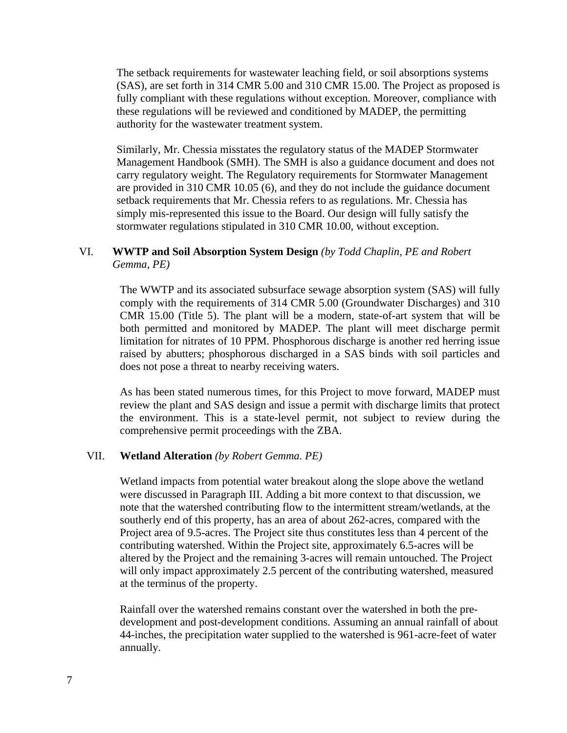The setback requirements for wastewater leaching field, or soil absorptions systems (SAS), are set forth in 314 CMR 5.00 and 310 CMR 15.00. The Project as proposed is fully compliant with these regulations without exception. Moreover, compliance with these regulations will be reviewed and conditioned by MADEP, the permitting authority for the wastewater treatment system.

Similarly, Mr. Chessia misstates the regulatory status of the MADEP Stormwater Management Handbook (SMH). The SMH is also a guidance document and does not carry regulatory weight. The Regulatory requirements for Stormwater Management are provided in 310 CMR 10.05 (6), and they do not include the guidance document setback requirements that Mr. Chessia refers to as regulations. Mr. Chessia has simply mis-represented this issue to the Board. Our design will fully satisfy the stormwater regulations stipulated in 310 CMR 10.00, without exception.

## VI. **WWTP and Soil Absorption System Design** *(by Todd Chaplin, PE and Robert Gemma, PE)*

The WWTP and its associated subsurface sewage absorption system (SAS) will fully comply with the requirements of 314 CMR 5.00 (Groundwater Discharges) and 310 CMR 15.00 (Title 5). The plant will be a modern, state-of-art system that will be both permitted and monitored by MADEP. The plant will meet discharge permit limitation for nitrates of 10 PPM. Phosphorous discharge is another red herring issue raised by abutters; phosphorous discharged in a SAS binds with soil particles and does not pose a threat to nearby receiving waters.

As has been stated numerous times, for this Project to move forward, MADEP must review the plant and SAS design and issue a permit with discharge limits that protect the environment. This is a state-level permit, not subject to review during the comprehensive permit proceedings with the ZBA.

## VII. **Wetland Alteration** *(by Robert Gemma. PE)*

Wetland impacts from potential water breakout along the slope above the wetland were discussed in Paragraph III. Adding a bit more context to that discussion, we note that the watershed contributing flow to the intermittent stream/wetlands, at the southerly end of this property, has an area of about 262-acres, compared with the Project area of 9.5-acres. The Project site thus constitutes less than 4 percent of the contributing watershed. Within the Project site, approximately 6.5-acres will be altered by the Project and the remaining 3-acres will remain untouched. The Project will only impact approximately 2.5 percent of the contributing watershed, measured at the terminus of the property.

Rainfall over the watershed remains constant over the watershed in both the predevelopment and post-development conditions. Assuming an annual rainfall of about 44-inches, the precipitation water supplied to the watershed is 961-acre-feet of water annually.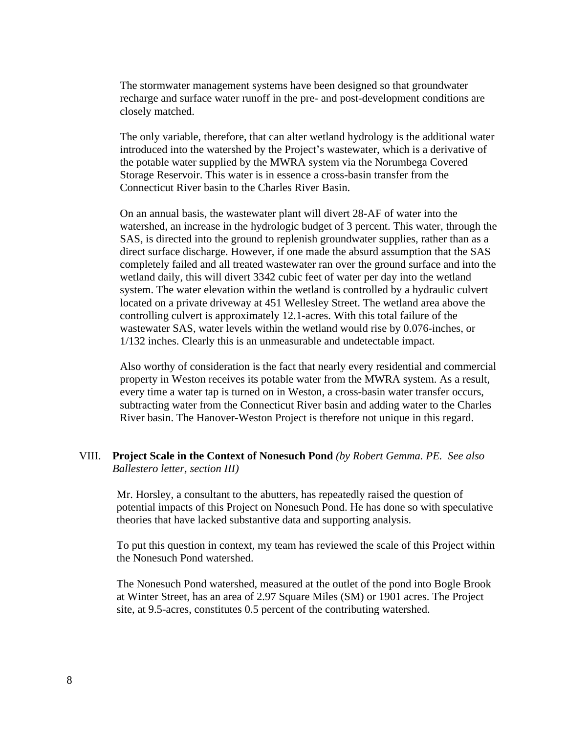The stormwater management systems have been designed so that groundwater recharge and surface water runoff in the pre- and post-development conditions are closely matched.

The only variable, therefore, that can alter wetland hydrology is the additional water introduced into the watershed by the Project's wastewater, which is a derivative of the potable water supplied by the MWRA system via the Norumbega Covered Storage Reservoir. This water is in essence a cross-basin transfer from the Connecticut River basin to the Charles River Basin.

On an annual basis, the wastewater plant will divert 28-AF of water into the watershed, an increase in the hydrologic budget of 3 percent. This water, through the SAS, is directed into the ground to replenish groundwater supplies, rather than as a direct surface discharge. However, if one made the absurd assumption that the SAS completely failed and all treated wastewater ran over the ground surface and into the wetland daily, this will divert 3342 cubic feet of water per day into the wetland system. The water elevation within the wetland is controlled by a hydraulic culvert located on a private driveway at 451 Wellesley Street. The wetland area above the controlling culvert is approximately 12.1-acres. With this total failure of the wastewater SAS, water levels within the wetland would rise by 0.076-inches, or 1/132 inches. Clearly this is an unmeasurable and undetectable impact.

Also worthy of consideration is the fact that nearly every residential and commercial property in Weston receives its potable water from the MWRA system. As a result, every time a water tap is turned on in Weston, a cross-basin water transfer occurs, subtracting water from the Connecticut River basin and adding water to the Charles River basin. The Hanover-Weston Project is therefore not unique in this regard.

## VIII. **Project Scale in the Context of Nonesuch Pond** *(by Robert Gemma. PE. See also Ballestero letter, section III)*

Mr. Horsley, a consultant to the abutters, has repeatedly raised the question of potential impacts of this Project on Nonesuch Pond. He has done so with speculative theories that have lacked substantive data and supporting analysis.

To put this question in context, my team has reviewed the scale of this Project within the Nonesuch Pond watershed.

The Nonesuch Pond watershed, measured at the outlet of the pond into Bogle Brook at Winter Street, has an area of 2.97 Square Miles (SM) or 1901 acres. The Project site, at 9.5-acres, constitutes 0.5 percent of the contributing watershed.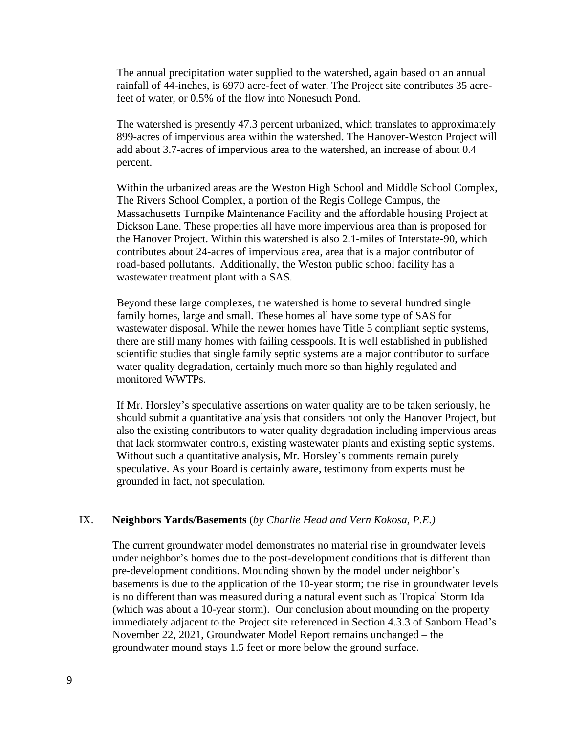The annual precipitation water supplied to the watershed, again based on an annual rainfall of 44-inches, is 6970 acre-feet of water. The Project site contributes 35 acrefeet of water, or 0.5% of the flow into Nonesuch Pond.

The watershed is presently 47.3 percent urbanized, which translates to approximately 899-acres of impervious area within the watershed. The Hanover-Weston Project will add about 3.7-acres of impervious area to the watershed, an increase of about 0.4 percent.

Within the urbanized areas are the Weston High School and Middle School Complex, The Rivers School Complex, a portion of the Regis College Campus, the Massachusetts Turnpike Maintenance Facility and the affordable housing Project at Dickson Lane. These properties all have more impervious area than is proposed for the Hanover Project. Within this watershed is also 2.1-miles of Interstate-90, which contributes about 24-acres of impervious area, area that is a major contributor of road-based pollutants. Additionally, the Weston public school facility has a wastewater treatment plant with a SAS.

Beyond these large complexes, the watershed is home to several hundred single family homes, large and small. These homes all have some type of SAS for wastewater disposal. While the newer homes have Title 5 compliant septic systems, there are still many homes with failing cesspools. It is well established in published scientific studies that single family septic systems are a major contributor to surface water quality degradation, certainly much more so than highly regulated and monitored WWTPs.

If Mr. Horsley's speculative assertions on water quality are to be taken seriously, he should submit a quantitative analysis that considers not only the Hanover Project, but also the existing contributors to water quality degradation including impervious areas that lack stormwater controls, existing wastewater plants and existing septic systems. Without such a quantitative analysis, Mr. Horsley's comments remain purely speculative. As your Board is certainly aware, testimony from experts must be grounded in fact, not speculation.

## IX. **Neighbors Yards/Basements** (*by Charlie Head and Vern Kokosa, P.E.)*

The current groundwater model demonstrates no material rise in groundwater levels under neighbor's homes due to the post-development conditions that is different than pre-development conditions. Mounding shown by the model under neighbor's basements is due to the application of the 10-year storm; the rise in groundwater levels is no different than was measured during a natural event such as Tropical Storm Ida (which was about a 10-year storm). Our conclusion about mounding on the property immediately adjacent to the Project site referenced in Section 4.3.3 of Sanborn Head's November 22, 2021, Groundwater Model Report remains unchanged – the groundwater mound stays 1.5 feet or more below the ground surface.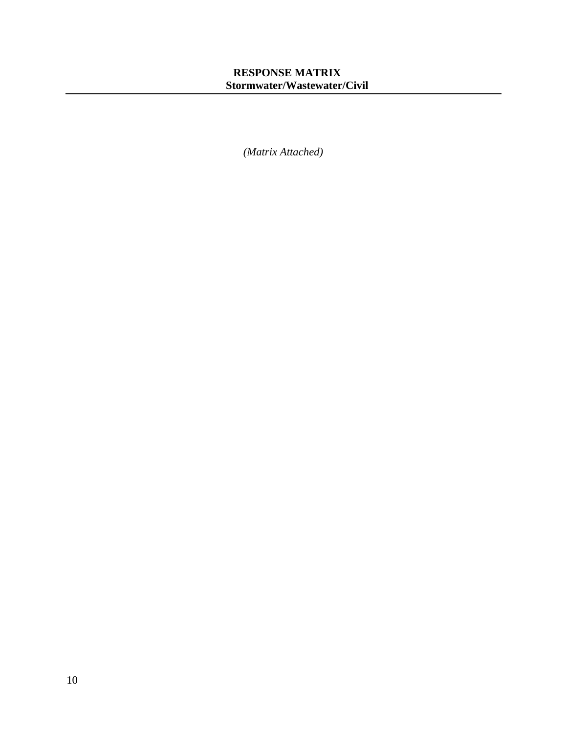# **RESPONSE MATRIX Stormwater/Wastewater/Civil**

*(Matrix Attached)*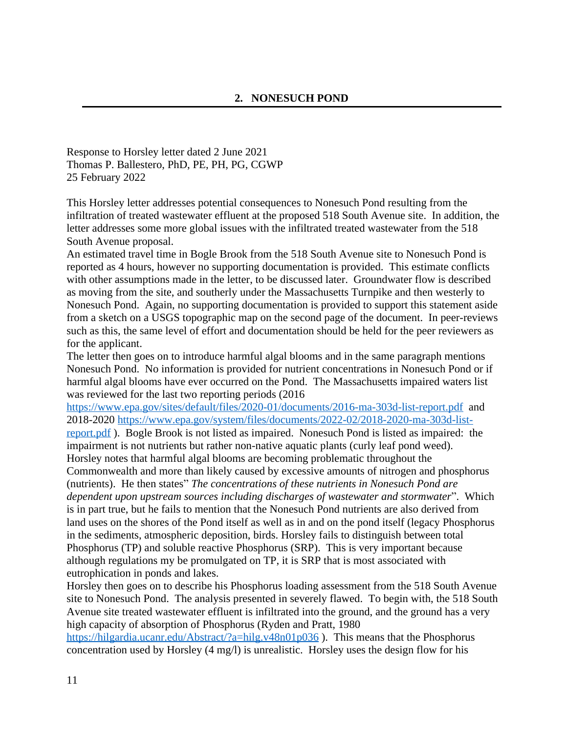Response to Horsley letter dated 2 June 2021 Thomas P. Ballestero, PhD, PE, PH, PG, CGWP 25 February 2022

This Horsley letter addresses potential consequences to Nonesuch Pond resulting from the infiltration of treated wastewater effluent at the proposed 518 South Avenue site. In addition, the letter addresses some more global issues with the infiltrated treated wastewater from the 518 South Avenue proposal.

An estimated travel time in Bogle Brook from the 518 South Avenue site to Nonesuch Pond is reported as 4 hours, however no supporting documentation is provided. This estimate conflicts with other assumptions made in the letter, to be discussed later. Groundwater flow is described as moving from the site, and southerly under the Massachusetts Turnpike and then westerly to Nonesuch Pond. Again, no supporting documentation is provided to support this statement aside from a sketch on a USGS topographic map on the second page of the document. In peer-reviews such as this, the same level of effort and documentation should be held for the peer reviewers as for the applicant.

The letter then goes on to introduce harmful algal blooms and in the same paragraph mentions Nonesuch Pond. No information is provided for nutrient concentrations in Nonesuch Pond or if harmful algal blooms have ever occurred on the Pond. The Massachusetts impaired waters list was reviewed for the last two reporting periods (2016

<https://www.epa.gov/sites/default/files/2020-01/documents/2016-ma-303d-list-report.pdf> and 2018-2020 [https://www.epa.gov/system/files/documents/2022-02/2018-2020-ma-303d-list-](https://www.epa.gov/system/files/documents/2022-02/2018-2020-ma-303d-list-report.pdf)

report.pdf ). Bogle Brook is not listed as impaired. Nonesuch Pond is listed as impaired: the impairment is not nutrients but rather non-native aquatic plants (curly leaf pond weed). Horsley notes that harmful algal blooms are becoming problematic throughout the

Commonwealth and more than likely caused by excessive amounts of nitrogen and phosphorus (nutrients). He then states" *The concentrations of these nutrients in Nonesuch Pond are dependent upon upstream sources including discharges of wastewater and stormwater*". Which is in part true, but he fails to mention that the Nonesuch Pond nutrients are also derived from land uses on the shores of the Pond itself as well as in and on the pond itself (legacy Phosphorus in the sediments, atmospheric deposition, birds. Horsley fails to distinguish between total Phosphorus (TP) and soluble reactive Phosphorus (SRP). This is very important because although regulations my be promulgated on TP, it is SRP that is most associated with eutrophication in ponds and lakes.

Horsley then goes on to describe his Phosphorus loading assessment from the 518 South Avenue site to Nonesuch Pond. The analysis presented in severely flawed. To begin with, the 518 South Avenue site treated wastewater effluent is infiltrated into the ground, and the ground has a very high capacity of absorption of Phosphorus (Ryden and Pratt, 1980 <https://hilgardia.ucanr.edu/Abstract/?a=hilg.v48n01p036>). This means that the Phosphorus

concentration used by Horsley (4 mg/l) is unrealistic. Horsley uses the design flow for his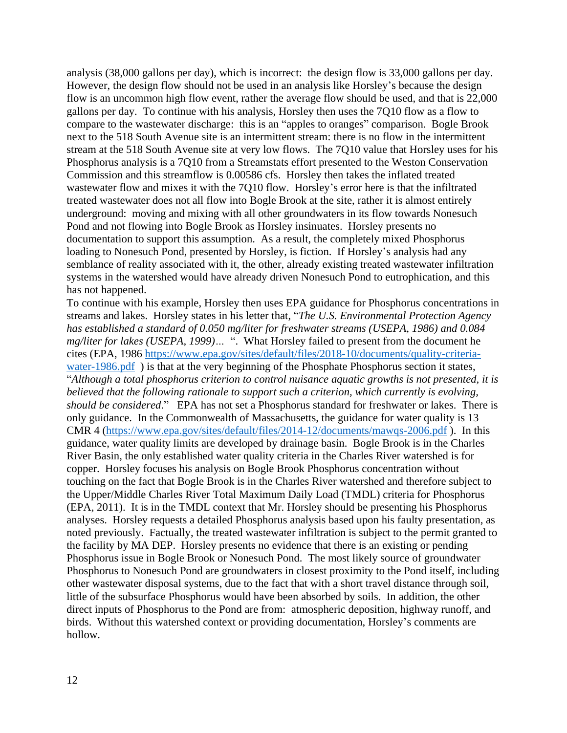analysis (38,000 gallons per day), which is incorrect: the design flow is 33,000 gallons per day. However, the design flow should not be used in an analysis like Horsley's because the design flow is an uncommon high flow event, rather the average flow should be used, and that is 22,000 gallons per day. To continue with his analysis, Horsley then uses the 7Q10 flow as a flow to compare to the wastewater discharge: this is an "apples to oranges" comparison. Bogle Brook next to the 518 South Avenue site is an intermittent stream: there is no flow in the intermittent stream at the 518 South Avenue site at very low flows. The 7Q10 value that Horsley uses for his Phosphorus analysis is a 7Q10 from a Streamstats effort presented to the Weston Conservation Commission and this streamflow is 0.00586 cfs. Horsley then takes the inflated treated wastewater flow and mixes it with the 7Q10 flow. Horsley's error here is that the infiltrated treated wastewater does not all flow into Bogle Brook at the site, rather it is almost entirely underground: moving and mixing with all other groundwaters in its flow towards Nonesuch Pond and not flowing into Bogle Brook as Horsley insinuates. Horsley presents no documentation to support this assumption. As a result, the completely mixed Phosphorus loading to Nonesuch Pond, presented by Horsley, is fiction. If Horsley's analysis had any semblance of reality associated with it, the other, already existing treated wastewater infiltration systems in the watershed would have already driven Nonesuch Pond to eutrophication, and this has not happened.

To continue with his example, Horsley then uses EPA guidance for Phosphorus concentrations in streams and lakes. Horsley states in his letter that, "*The U.S. Environmental Protection Agency has established a standard of 0.050 mg/liter for freshwater streams (USEPA, 1986) and 0.084 mg/liter for lakes (USEPA, 1999)…* ". What Horsley failed to present from the document he cites (EPA, 1986 [https://www.epa.gov/sites/default/files/2018-10/documents/quality-criteria](https://www.epa.gov/sites/default/files/2018-10/documents/quality-criteria-water-1986.pdf)water-1986.pdf) is that at the very beginning of the Phosphate Phosphorus section it states, "*Although a total phosphorus criterion to control nuisance aquatic growths is not presented, it is believed that the following rationale to support such a criterion, which currently is evolving, should be considered*." EPA has not set a Phosphorus standard for freshwater or lakes. There is only guidance. In the Commonwealth of Massachusetts, the guidance for water quality is 13 CMR 4 (<https://www.epa.gov/sites/default/files/2014-12/documents/mawqs-2006.pdf>). In this guidance, water quality limits are developed by drainage basin. Bogle Brook is in the Charles River Basin, the only established water quality criteria in the Charles River watershed is for copper. Horsley focuses his analysis on Bogle Brook Phosphorus concentration without touching on the fact that Bogle Brook is in the Charles River watershed and therefore subject to the Upper/Middle Charles River Total Maximum Daily Load (TMDL) criteria for Phosphorus (EPA, 2011). It is in the TMDL context that Mr. Horsley should be presenting his Phosphorus analyses. Horsley requests a detailed Phosphorus analysis based upon his faulty presentation, as noted previously. Factually, the treated wastewater infiltration is subject to the permit granted to the facility by MA DEP. Horsley presents no evidence that there is an existing or pending Phosphorus issue in Bogle Brook or Nonesuch Pond. The most likely source of groundwater Phosphorus to Nonesuch Pond are groundwaters in closest proximity to the Pond itself, including other wastewater disposal systems, due to the fact that with a short travel distance through soil, little of the subsurface Phosphorus would have been absorbed by soils. In addition, the other direct inputs of Phosphorus to the Pond are from: atmospheric deposition, highway runoff, and birds. Without this watershed context or providing documentation, Horsley's comments are hollow.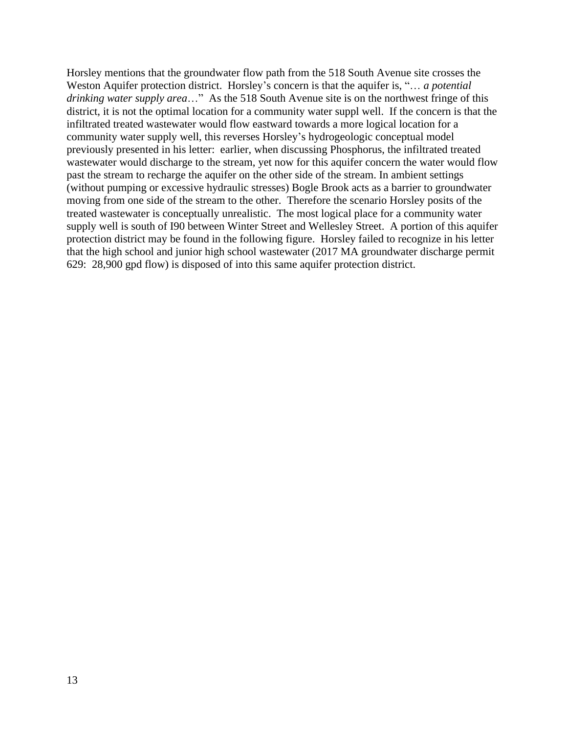Horsley mentions that the groundwater flow path from the 518 South Avenue site crosses the Weston Aquifer protection district. Horsley's concern is that the aquifer is, "… *a potential drinking water supply area*…" As the 518 South Avenue site is on the northwest fringe of this district, it is not the optimal location for a community water suppl well. If the concern is that the infiltrated treated wastewater would flow eastward towards a more logical location for a community water supply well, this reverses Horsley's hydrogeologic conceptual model previously presented in his letter: earlier, when discussing Phosphorus, the infiltrated treated wastewater would discharge to the stream, yet now for this aquifer concern the water would flow past the stream to recharge the aquifer on the other side of the stream. In ambient settings (without pumping or excessive hydraulic stresses) Bogle Brook acts as a barrier to groundwater moving from one side of the stream to the other. Therefore the scenario Horsley posits of the treated wastewater is conceptually unrealistic. The most logical place for a community water supply well is south of I90 between Winter Street and Wellesley Street. A portion of this aquifer protection district may be found in the following figure. Horsley failed to recognize in his letter that the high school and junior high school wastewater (2017 MA groundwater discharge permit 629: 28,900 gpd flow) is disposed of into this same aquifer protection district.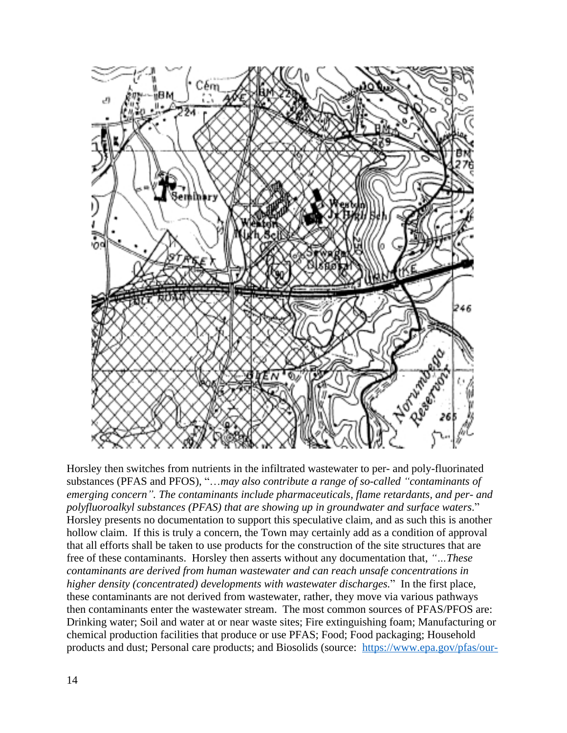

Horsley then switches from nutrients in the infiltrated wastewater to per- and poly-fluorinated substances (PFAS and PFOS), "…*may also contribute a range of so-called "contaminants of emerging concern". The contaminants include pharmaceuticals, flame retardants, and per- and polyfluoroalkyl substances (PFAS) that are showing up in groundwater and surface waters*." Horsley presents no documentation to support this speculative claim, and as such this is another hollow claim. If this is truly a concern, the Town may certainly add as a condition of approval that all efforts shall be taken to use products for the construction of the site structures that are free of these contaminants. Horsley then asserts without any documentation that, *"…These contaminants are derived from human wastewater and can reach unsafe concentrations in higher density (concentrated) developments with wastewater discharges.*" In the first place, these contaminants are not derived from wastewater, rather, they move via various pathways then contaminants enter the wastewater stream. The most common sources of PFAS/PFOS are: Drinking water; Soil and water at or near waste sites; Fire extinguishing foam; Manufacturing or chemical production facilities that produce or use PFAS; Food; Food packaging; Household products and dust; Personal care products; and Biosolids (source: [https://www.epa.gov/pfas/our-](https://www.epa.gov/pfas/our-current-understanding-human-health-and-environmental-risks-pfas)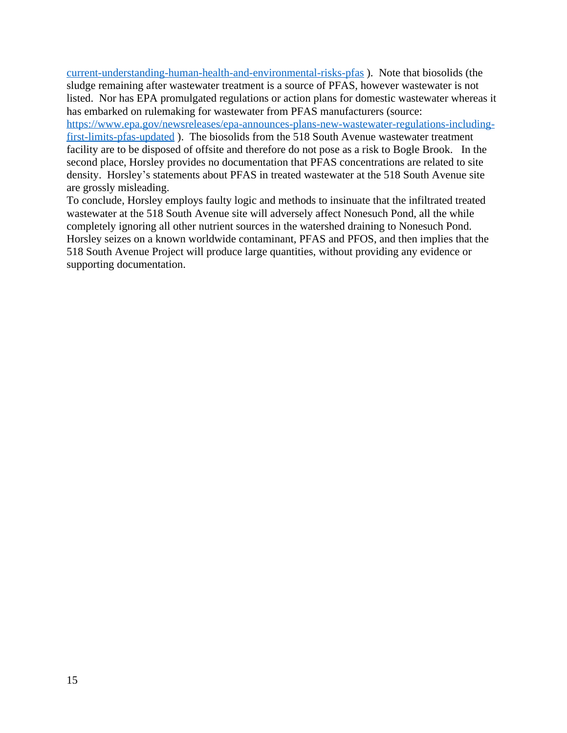current-understanding-human-health-and-environmental-risks-pfas ). Note that biosolids (the sludge remaining after wastewater treatment is a source of PFAS, however wastewater is not listed. Nor has EPA promulgated regulations or action plans for domestic wastewater whereas it has embarked on rulemaking for wastewater from PFAS manufacturers (source:

[https://www.epa.gov/newsreleases/epa-announces-plans-new-wastewater-regulations-including](https://www.epa.gov/newsreleases/epa-announces-plans-new-wastewater-regulations-including-first-limits-pfas-updated)first-limits-pfas-updated ). The biosolids from the 518 South Avenue wastewater treatment facility are to be disposed of offsite and therefore do not pose as a risk to Bogle Brook. In the second place, Horsley provides no documentation that PFAS concentrations are related to site density. Horsley's statements about PFAS in treated wastewater at the 518 South Avenue site are grossly misleading.

To conclude, Horsley employs faulty logic and methods to insinuate that the infiltrated treated wastewater at the 518 South Avenue site will adversely affect Nonesuch Pond, all the while completely ignoring all other nutrient sources in the watershed draining to Nonesuch Pond. Horsley seizes on a known worldwide contaminant, PFAS and PFOS, and then implies that the 518 South Avenue Project will produce large quantities, without providing any evidence or supporting documentation.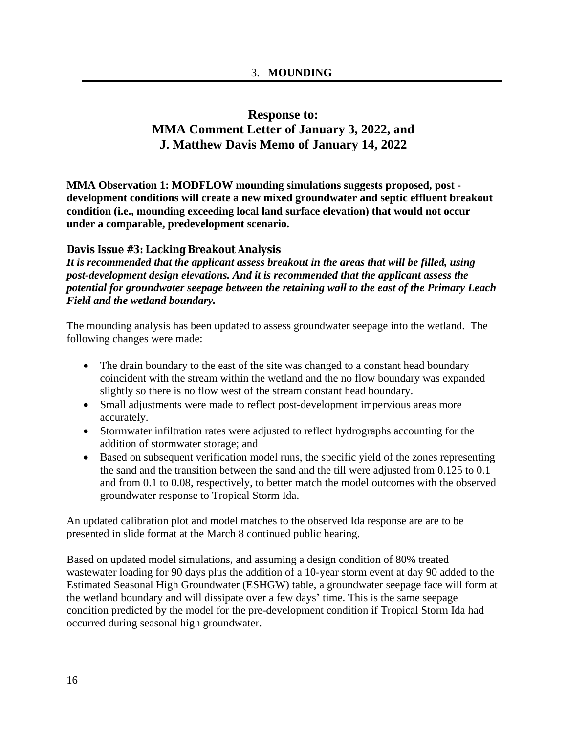# **Response to: MMA Comment Letter of January 3, 2022, and J. Matthew Davis Memo of January 14, 2022**

**MMA Observation 1: MODFLOW mounding simulations suggests proposed, post development conditions will create a new mixed groundwater and septic effluent breakout condition (i.e., mounding exceeding local land surface elevation) that would not occur under a comparable, predevelopment scenario.**

# **Davis Issue #3: Lacking Breakout Analysis**

*It is recommended that the applicant assess breakout in the areas that will be filled, using post-development design elevations. And it is recommended that the applicant assess the potential for groundwater seepage between the retaining wall to the east of the Primary Leach Field and the wetland boundary.*

The mounding analysis has been updated to assess groundwater seepage into the wetland. The following changes were made:

- The drain boundary to the east of the site was changed to a constant head boundary coincident with the stream within the wetland and the no flow boundary was expanded slightly so there is no flow west of the stream constant head boundary.
- Small adjustments were made to reflect post-development impervious areas more accurately.
- Stormwater infiltration rates were adjusted to reflect hydrographs accounting for the addition of stormwater storage; and
- Based on subsequent verification model runs, the specific yield of the zones representing the sand and the transition between the sand and the till were adjusted from 0.125 to 0.1 and from 0.1 to 0.08, respectively, to better match the model outcomes with the observed groundwater response to Tropical Storm Ida.

An updated calibration plot and model matches to the observed Ida response are are to be presented in slide format at the March 8 continued public hearing.

Based on updated model simulations, and assuming a design condition of 80% treated wastewater loading for 90 days plus the addition of a 10-year storm event at day 90 added to the Estimated Seasonal High Groundwater (ESHGW) table, a groundwater seepage face will form at the wetland boundary and will dissipate over a few days' time. This is the same seepage condition predicted by the model for the pre-development condition if Tropical Storm Ida had occurred during seasonal high groundwater.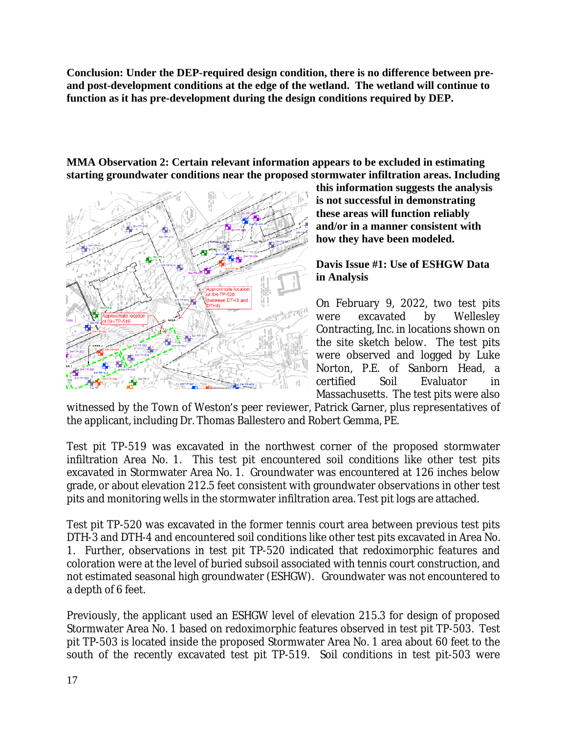**Conclusion: Under the DEP-required design condition, there is no difference between preand post-development conditions at the edge of the wetland. The wetland will continue to function as it has pre-development during the design conditions required by DEP.** 

**MMA Observation 2: Certain relevant information appears to be excluded in estimating starting groundwater conditions near the proposed stormwater infiltration areas. Including**



**this information suggests the analysis is not successful in demonstrating these areas will function reliably and/or in a manner consistent with how they have been modeled.**

**Davis Issue #1: Use of ESHGW Data in Analysis**

On February 9, 2022, two test pits were excavated by Wellesley Contracting, Inc. in locations shown on the site sketch below. The test pits were observed and logged by Luke Norton, P.E. of Sanborn Head, a certified Soil Evaluator in Massachusetts. The test pits were also

witnessed by the Town of Weston's peer reviewer, Patrick Garner, plus representatives of the applicant, including Dr. Thomas Ballestero and Robert Gemma, PE.

Test pit TP-519 was excavated in the northwest corner of the proposed stormwater infiltration Area No. 1. This test pit encountered soil conditions like other test pits excavated in Stormwater Area No. 1. Groundwater was encountered at 126 inches below grade, or about elevation 212.5 feet consistent with groundwater observations in other test pits and monitoring wells in the stormwater infiltration area. Test pit logs are attached.

Test pit TP-520 was excavated in the former tennis court area between previous test pits DTH-3 and DTH-4 and encountered soil conditions like other test pits excavated in Area No. 1. Further, observations in test pit TP-520 indicated that redoximorphic features and coloration were at the level of buried subsoil associated with tennis court construction, and not estimated seasonal high groundwater (ESHGW). Groundwater was not encountered to a depth of 6 feet.

Previously, the applicant used an ESHGW level of elevation 215.3 for design of proposed Stormwater Area No. 1 based on redoximorphic features observed in test pit TP-503. Test pit TP-503 is located inside the proposed Stormwater Area No. 1 area about 60 feet to the south of the recently excavated test pit TP-519. Soil conditions in test pit-503 were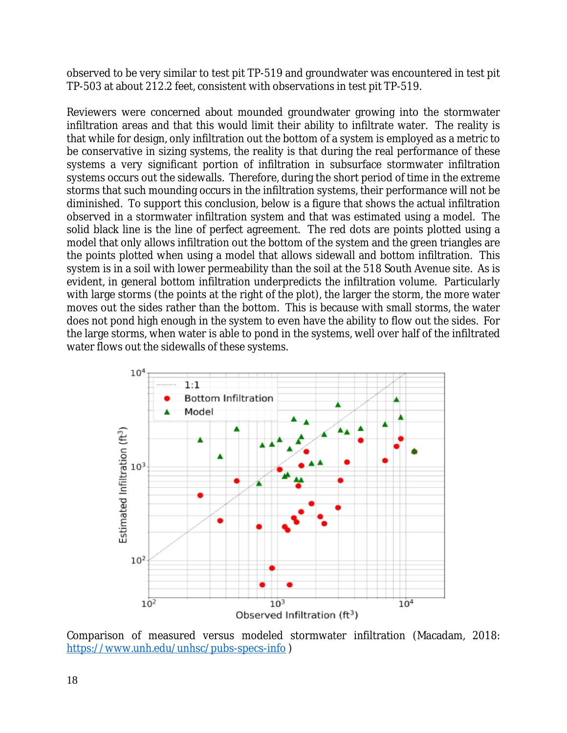observed to be very similar to test pit TP-519 and groundwater was encountered in test pit TP-503 at about 212.2 feet, consistent with observations in test pit TP-519.

Reviewers were concerned about mounded groundwater growing into the stormwater infiltration areas and that this would limit their ability to infiltrate water. The reality is that while for design, only infiltration out the bottom of a system is employed as a metric to be conservative in sizing systems, the reality is that during the real performance of these systems a very significant portion of infiltration in subsurface stormwater infiltration systems occurs out the sidewalls. Therefore, during the short period of time in the extreme storms that such mounding occurs in the infiltration systems, their performance will not be diminished. To support this conclusion, below is a figure that shows the actual infiltration observed in a stormwater infiltration system and that was estimated using a model. The solid black line is the line of perfect agreement. The red dots are points plotted using a model that only allows infiltration out the bottom of the system and the green triangles are the points plotted when using a model that allows sidewall and bottom infiltration. This system is in a soil with lower permeability than the soil at the 518 South Avenue site. As is evident, in general bottom infiltration underpredicts the infiltration volume. Particularly with large storms (the points at the right of the plot), the larger the storm, the more water moves out the sides rather than the bottom. This is because with small storms, the water does not pond high enough in the system to even have the ability to flow out the sides. For the large storms, when water is able to pond in the systems, well over half of the infiltrated water flows out the sidewalls of these systems.



Comparison of measured versus modeled stormwater infiltration (Macadam, 2018: <https://www.unh.edu/unhsc/pubs-specs-info>)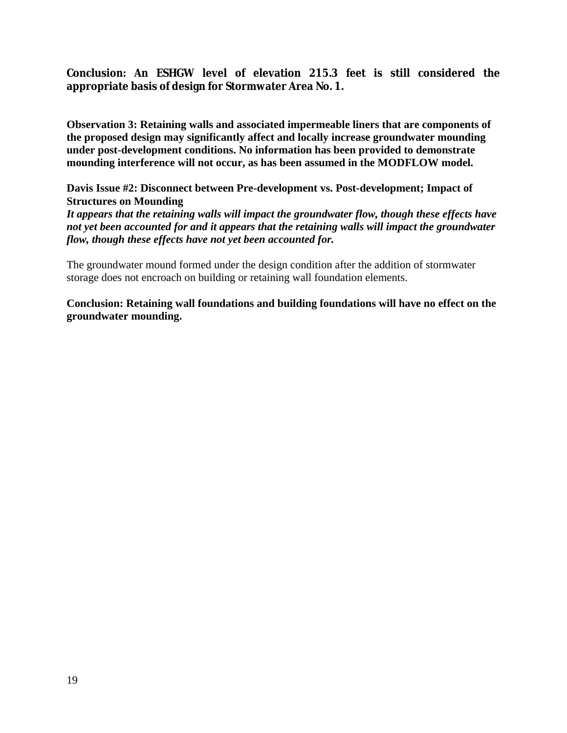# **Conclusion: An ESHGW level of elevation 215.3 feet is still considered the appropriate basis of design for Stormwater Area No. 1.**

**Observation 3: Retaining walls and associated impermeable liners that are components of the proposed design may significantly affect and locally increase groundwater mounding under post-development conditions. No information has been provided to demonstrate mounding interference will not occur, as has been assumed in the MODFLOW model.**

**Davis Issue #2: Disconnect between Pre-development vs. Post-development; Impact of Structures on Mounding**

*It appears that the retaining walls will impact the groundwater flow, though these effects have not yet been accounted for and it appears that the retaining walls will impact the groundwater flow, though these effects have not yet been accounted for.*

The groundwater mound formed under the design condition after the addition of stormwater storage does not encroach on building or retaining wall foundation elements.

**Conclusion: Retaining wall foundations and building foundations will have no effect on the groundwater mounding.**